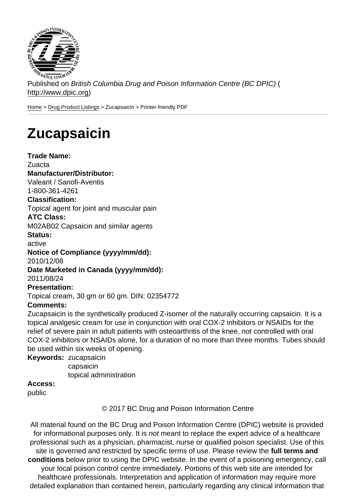Published on British Columbia Drug and Poison Information Centre (BC DPIC) ( http://www.dpic.org)

Home > Drug Product Listings > Zucapsaicin > Printer-friendly PDF

## **[Zu](http://www.dpic.org/)[capsaicin](http://www.dpic.org/druglistings)**

Trade Name: Zuacta Manufacturer/Distributor: Valeant / Sanofi-Aventis 1-800-361-4261 Classification: Topical agent for joint and muscular pain ATC Class: M02AB02 Capsaicin and similar agents Status: active Notice of Compliance (yyyy/mm/dd): 2010/12/08 Date Marketed in Canada (yyyy/mm/dd): 2011/08/24 Presentation: Topical cream, 30 gm or 60 gm. DIN: 02354772 Comments: Zucapsaicin is the synthetically produced Z-isomer of the naturally occurring capsaicin. It is a topical analgesic cream for use in conjunction with oral COX-2 inhibitors or NSAIDs for the relief of severe pain in adult patients with osteoarthritis of the knee, not controlled with oral COX-2 inhibitors or NSAIDs alone, for a duration of no more than three months. Tubes should be used within six weeks of opening. Keywords: zucapsaicin capsaicin topical administration

Access:

public

© 2017 BC Drug and Poison Information Centre

All material found on the BC Drug and Poison Information Centre (DPIC) website is provided for informational purposes only. It is not meant to replace the expert advice of a healthcare professional such as a physician, pharmacist, nurse or qualified poison specialist. Use of this site is governed and restricted by specific terms of use. Please review the full terms and conditions below prior to using the DPIC website. In the event of a poisoning emergency, call your local poison control centre immediately. Portions of this web site are intended for healthcare professionals. Interpretation and application of information may require more detailed explanation than contained herein, particularly regarding any clinical information that